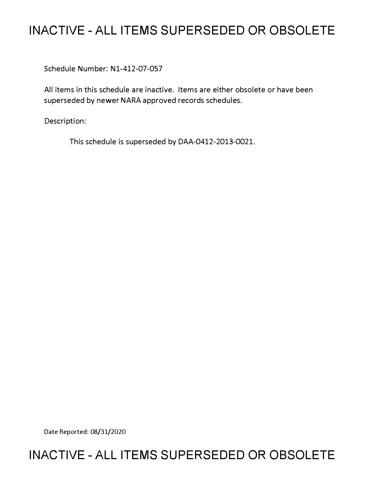# **INACTIVE - ALL ITEMS SUPERSEDED OR OBSOLETE**

Schedule Number: Nl-412-07-057

All items in this schedule are inactive. Items are either obsolete or have been superseded by newer NARA approved records schedules.

Description:

This schedule is superseded by DAA-0412-2013-0021.

Date Reported: 08/31/2020

# **INACTIVE - ALL ITEMS SUPERSEDED OR OBSOLETE**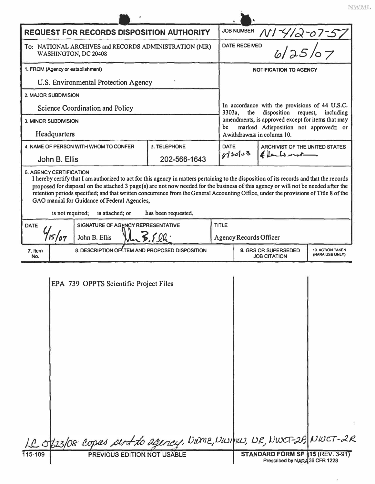|                                                                                | <b>REQUEST FOR RECORDS DISPOSITION AUTHORITY</b>                                                                          |                     | <b>JOB NUMBER</b>                                                                                          | $N1 - 412 - 07 - 57$                                                                      |                 |  |
|--------------------------------------------------------------------------------|---------------------------------------------------------------------------------------------------------------------------|---------------------|------------------------------------------------------------------------------------------------------------|-------------------------------------------------------------------------------------------|-----------------|--|
| To: NATIONAL ARCHIVES and RECORDS ADMINISTRATION (NIR)<br>WASHINGTON, DC 20408 |                                                                                                                           |                     |                                                                                                            | 6/25/07<br><b>DATE RECEIVED</b>                                                           |                 |  |
| 1. FROM (Agency or establishment)                                              |                                                                                                                           |                     | NOTIFICATION TO AGENCY                                                                                     |                                                                                           |                 |  |
| U.S. Environmental Protection Agency                                           |                                                                                                                           |                     |                                                                                                            |                                                                                           |                 |  |
|                                                                                | 2. MAJOR SUBDIVISION                                                                                                      |                     |                                                                                                            |                                                                                           |                 |  |
| Science Coordination and Policy                                                |                                                                                                                           |                     | In accordance with the provisions of 44 U.S.C.<br>disposition<br>$3303a$ ,<br>the<br>request,<br>including |                                                                                           |                 |  |
| 3. MINOR SUBDIVISION                                                           |                                                                                                                           |                     | be                                                                                                         | amendments, is approved except for items that may<br>marked Adisposition not approved≅ or |                 |  |
|                                                                                | Headquarters                                                                                                              |                     |                                                                                                            | Awithdrawn≅ in column 10.                                                                 |                 |  |
|                                                                                | 4. NAME OF PERSON WITH WHOM TO CONFER                                                                                     | 5. TELEPHONE        | <b>DATE</b>                                                                                                | ARCHIVIST OF THE UNITED STATES<br>$s$ of $\mathcal{L}$<br>$4$ lands rust                  |                 |  |
|                                                                                | John B. Ellis                                                                                                             | 202-566-1643        |                                                                                                            |                                                                                           |                 |  |
| <b>DATE</b>                                                                    | GAO manual for Guidance of Federal Agencies,<br>is not required;<br>is attached; or<br>SIGNATURE OF AGENCY REPRESENTATIVE | has been requested. | <b>TITLE</b>                                                                                               |                                                                                           |                 |  |
|                                                                                |                                                                                                                           |                     |                                                                                                            |                                                                                           |                 |  |
|                                                                                | 15/07<br>John B. Ellis<br>8. DESCRIPTION OF ITEM AND PROPOSED DISPOSITION                                                 |                     | <b>Agency Records Officer</b><br>9. GRS OR SUPERSEDED<br><b>10. ACTION TAKEN</b>                           |                                                                                           |                 |  |
| No.                                                                            | 7. Item                                                                                                                   |                     |                                                                                                            |                                                                                           |                 |  |
|                                                                                |                                                                                                                           |                     |                                                                                                            | <b>JOB CITATION</b>                                                                       | (NARA USE ONLY) |  |
|                                                                                | EPA 739 OPPTS Scientific Project Files                                                                                    |                     |                                                                                                            |                                                                                           |                 |  |
| 115-109                                                                        | LC 0/23/08 Copies sent to agency, Divme, Divinius, DR, NWCT-2P, NWCT-2R<br>PREVIOUS EDITION NOT USABLE                    |                     |                                                                                                            | STANDARD FORM SF 115 (REV. 3-91)                                                          |                 |  |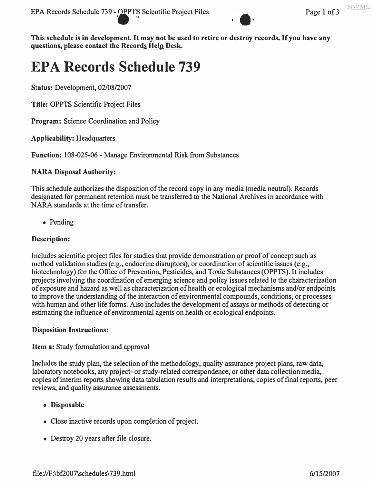**EPA Records Schedule 739 - OPPTS Scientific Project Files** Page 1 of 3



**This schedule is in development. It may not be used to retire or destroy records. If you have any questions, please contact the Records Help Desk.** 

# **EPA Records Schedule 739**

**Status: Development, 02/08/2007** 

**Title: OPPTS Scientific Project Files** 

**Program: Science Coordination and Policy** 

**Applicability: Headquarters** 

**Function: 108-025-06 - Manage Environmental Risk from Substances** 

## **NARA Disposal Authority:**

**This schedule authorizes the disposition of the record copy in any media (media neutral). Records designated for permanent retention must be transferred to the National Archives in accordance with NARA standards at the time of transfer.** 

**• Pending** 

## **Description:**

**Includes scientific project files for studies that provide demonstration or proof of concept such as**  method validation studies (e.g., endocrine disruptors), or coordination of scientific issues (e.g., **biotechnology) for the Office of Prevention, Pesticides, and Toxic Substances (OPPTS). It includes projects involving the coordination of emerging science and policy issues related to the characterization of exposure and hazard as well as characterization of health or ecological mechanisms and/or endpoints to improve the understanding of the interaction of environmental compounds, conditions, or processes with human and other life forms. Also includes the development of assays or methods of detecting or estimating the influence of environmental agents on health or ecological endpoints.** 

## **Disposition Instructions:**

#### **Item a: Study formulation and approval**

**Includes the study plan, the selection of the methodology, quality assurance project plans, raw data, laboratory notebooks, any project- or study-related correspondence, or other data collection media, copies of interim reports showing data tabulation results and interpretations, copies of final reports, peer reviews, and quality assurance assessments.** 

- **Disposable**
- **Close inactive records upon completion of project.**
- **Destroy 20 years after file closure.**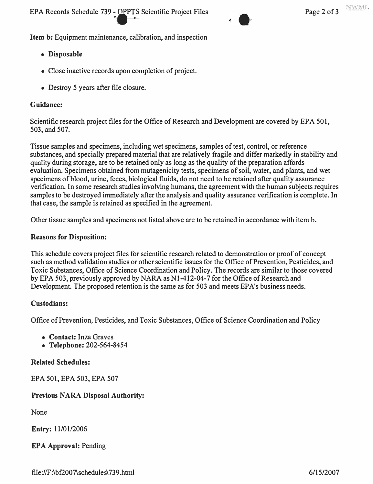**EPA Records Schedule 739 - OPPTS Scientific Project Files** Page 2 of 3



**Item b: Equipment maintenance, calibration, and inspection** 

- **Disposable**
- **Close inactive records upon completion of project.**
- **Destroy** *5* **years after file closure.**

#### **Guidance:**

**Scientific research project files for the Office of Research and Development are covered by EPA 501, 503, and 507.** 

**Tissue samples and specimens, including wet specimens, samples of test, control, or reference substances, and specially prepared material that are relatively fragile and differ markedly in stability and quality during storage, are to be retained only as long as the quality of the preparation affords evaluation. Specimens obtained from mutagenicity tests, specimens of soil, water, and plants, and wet specimens of blood, urine, feces, biological fluids, do not need to be retained after quality assurance verification. In some research studies involving humans, the agreement with the human subjects requires samples to be destroyed immediately after the analysis and quality assurance verification is complete. In that case, the sample is retained as specified in the agreement.** 

**Other tissue samples and specimens not listed above are to be retained in accordance with item b.** 

#### **Reasons for Disposition:**

**This schedule covers project files for scientific research related to demonstration or proof of concept such as method validation studies or other scientific issues for the Office of Prevention, Pesticides, and Toxic Substances, Office of Science Coordination and Policy. The records are similar to those covered by EPA 503, previously approved by NARA as Nl-412-04-7 for the Office of Research and**  Development. The proposed retention is the same as for 503 and meets EPA's business needs.

#### **Custodians:**

**Office of Prevention, Pesticides, and Toxic Substances, Office of Science Coordination and Policy** 

- Contact: Inza Graves
- **Telephone: 202-564-8454**

#### **Related Schedules:**

**EPA 501, EPA 503, EPA 507** 

#### **Previous NARA Disposal Authority:**

**None** 

**Entry: 11/01/2006** 

**EPA Approval: Pending**